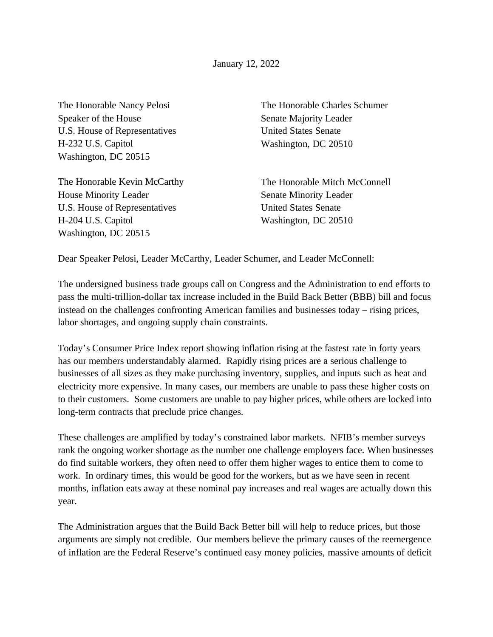January 12, 2022

The Honorable Nancy Pelosi Speaker of the House U.S. House of Representatives H-232 U.S. Capitol Washington, DC 20515

The Honorable Kevin McCarthy House Minority Leader U.S. House of Representatives H-204 U.S. Capitol Washington, DC 20515

The Honorable Charles Schumer Senate Majority Leader United States Senate Washington, DC 20510

The Honorable Mitch McConnell Senate Minority Leader United States Senate Washington, DC 20510

Dear Speaker Pelosi, Leader McCarthy, Leader Schumer, and Leader McConnell:

The undersigned business trade groups call on Congress and the Administration to end efforts to pass the multi-trillion-dollar tax increase included in the Build Back Better (BBB) bill and focus instead on the challenges confronting American families and businesses today – rising prices, labor shortages, and ongoing supply chain constraints.

Today's Consumer Price Index report showing inflation rising at the fastest rate in forty years has our members understandably alarmed. Rapidly rising prices are a serious challenge to businesses of all sizes as they make purchasing inventory, supplies, and inputs such as heat and electricity more expensive. In many cases, our members are unable to pass these higher costs on to their customers. Some customers are unable to pay higher prices, while others are locked into long-term contracts that preclude price changes.

These challenges are amplified by today's constrained labor markets. NFIB's member surveys rank the ongoing worker shortage as the number one challenge employers face. When businesses do find suitable workers, they often need to offer them higher wages to entice them to come to work. In ordinary times, this would be good for the workers, but as we have seen in recent months, inflation eats away at these nominal pay increases and real wages are actually down this year.

The Administration argues that the Build Back Better bill will help to reduce prices, but those arguments are simply not credible. Our members believe the primary causes of the reemergence of inflation are the Federal Reserve's continued easy money policies, massive amounts of deficit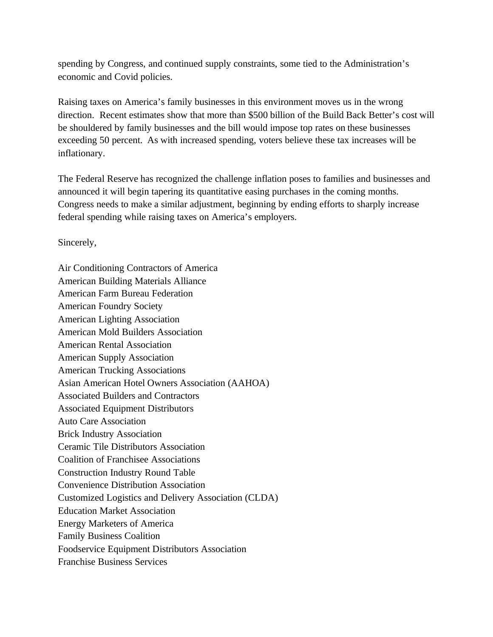spending by Congress, and continued supply constraints, some tied to the Administration's economic and Covid policies.

Raising taxes on America's family businesses in this environment moves us in the wrong direction. Recent estimates show that more than \$500 billion of the Build Back Better's cost will be shouldered by family businesses and the bill would impose top rates on these businesses exceeding 50 percent. As with increased spending, voters believe these tax increases will be inflationary.

The Federal Reserve has recognized the challenge inflation poses to families and businesses and announced it will begin tapering its quantitative easing purchases in the coming months. Congress needs to make a similar adjustment, beginning by ending efforts to sharply increase federal spending while raising taxes on America's employers.

Sincerely,

Air Conditioning Contractors of America American Building Materials Alliance American Farm Bureau Federation American Foundry Society American Lighting Association American Mold Builders Association American Rental Association American Supply Association American Trucking Associations Asian American Hotel Owners Association (AAHOA) Associated Builders and Contractors Associated Equipment Distributors Auto Care Association Brick Industry Association Ceramic Tile Distributors Association Coalition of Franchisee Associations Construction Industry Round Table Convenience Distribution Association Customized Logistics and Delivery Association (CLDA) Education Market Association Energy Marketers of America Family Business Coalition Foodservice Equipment Distributors Association Franchise Business Services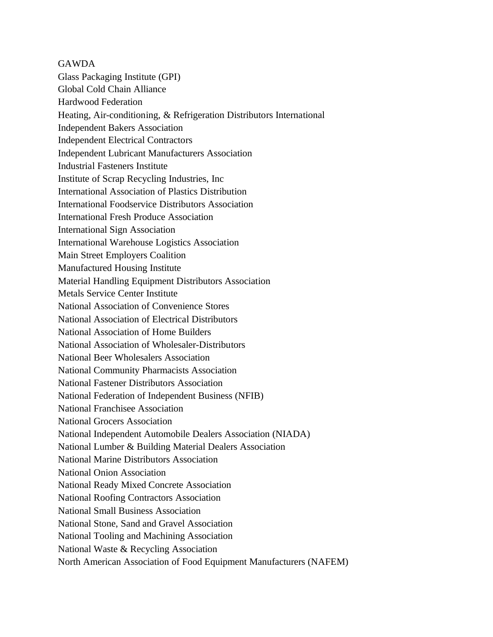GAWDA Glass Packaging Institute (GPI) Global Cold Chain Alliance Hardwood Federation Heating, Air-conditioning, & Refrigeration Distributors International Independent Bakers Association Independent Electrical Contractors Independent Lubricant Manufacturers Association Industrial Fasteners Institute Institute of Scrap Recycling Industries, Inc International Association of Plastics Distribution International Foodservice Distributors Association International Fresh Produce Association International Sign Association International Warehouse Logistics Association Main Street Employers Coalition Manufactured Housing Institute Material Handling Equipment Distributors Association Metals Service Center Institute National Association of Convenience Stores National Association of Electrical Distributors National Association of Home Builders National Association of Wholesaler-Distributors National Beer Wholesalers Association National Community Pharmacists Association National Fastener Distributors Association National Federation of Independent Business (NFIB) National Franchisee Association National Grocers Association National Independent Automobile Dealers Association (NIADA) National Lumber & Building Material Dealers Association National Marine Distributors Association National Onion Association National Ready Mixed Concrete Association National Roofing Contractors Association National Small Business Association National Stone, Sand and Gravel Association National Tooling and Machining Association National Waste & Recycling Association North American Association of Food Equipment Manufacturers (NAFEM)